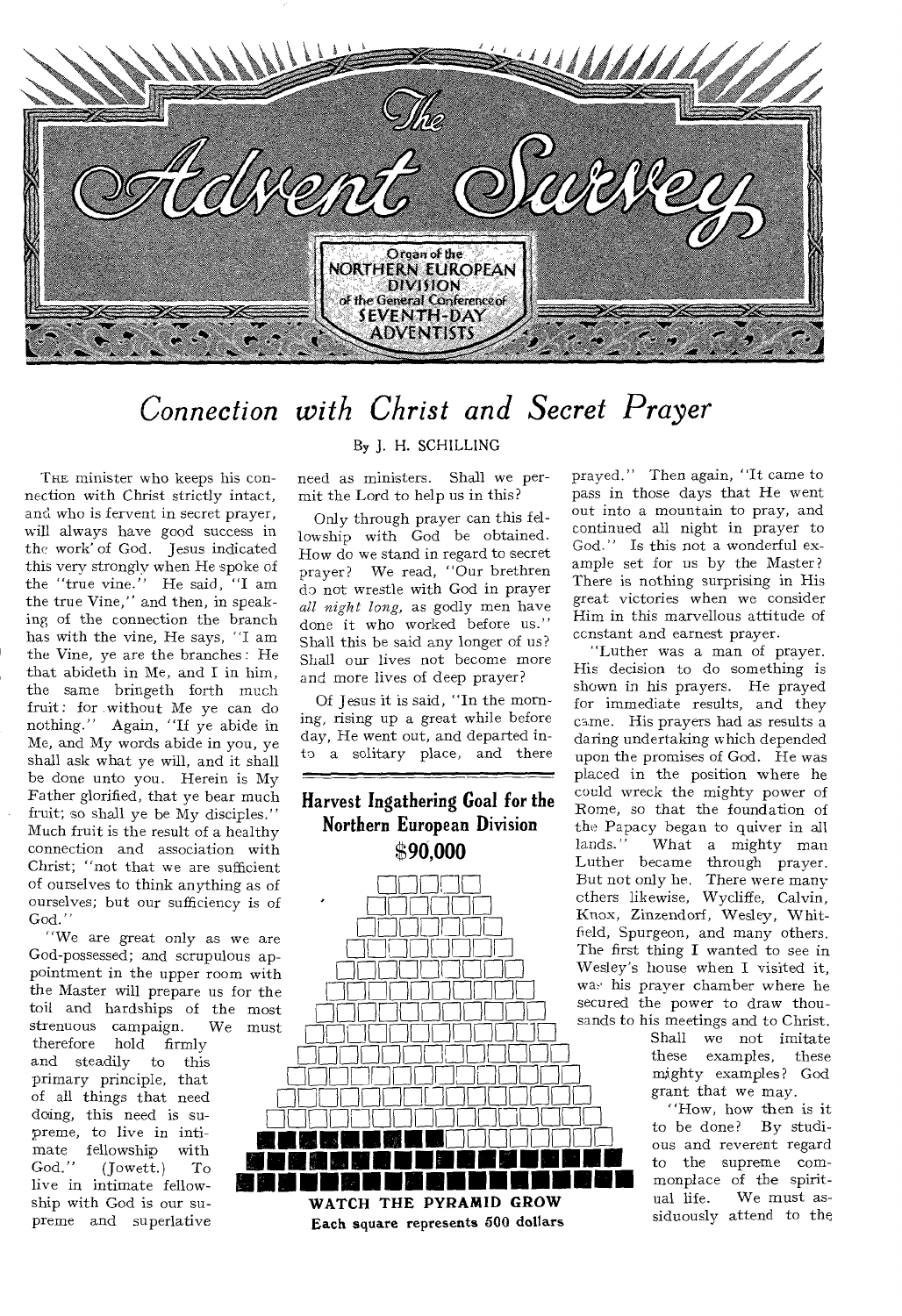

## *Connection with Christ and Secret Prayer*

THE minister who keeps his connection with Christ strictly intact, and who is fervent in secret prayer, will always have good success in the work' of God. Jesus indicated this very strongly when He spoke of the "true vine." He said, "I am the true Vine," and then, in speaking of the connection the branch has with the vine, He says, "I am the Vine, ye are the branches : He that abideth in Me, and I in him, the same bringeth forth much fruit : for without Me ye can do nothing." Again, "If ye abide in Me, and My words abide in you, ye shall ask what ye will, and it shall be done unto you. Herein is My Father glorified, that ye bear much fruit; so shall ye be My disciples." Much fruit is the result of a healthy connection and association with Christ; "not that we are sufficient of ourselves to think anything as of ourselves; but our sufficiency is of God."

"We are great only as we are God-possessed; and scrupulous appointment in the upper room with the Master will prepare us for the toil and hardships of the most strenuous campaign. We must

therefore hold firmly<br>and steadily to this and steadily primary principle, that of all things that need doing, this need is supreme, to live in intimate fellowship with God." (Jowett.) To live in intimate fellowship with God is our supreme and superlative

#### By J. H. SCHILLING

need as ministers. Shall we permit the Lord to help us in this?

Only through prayer can this fellowship with God be obtained. How do we stand in regard to secret prayer? We read, "Our brethren do not wrestle with God in prayer *all night long,* as godly men have done it who worked before us." Shall this be said any longer of us? Shall our lives not become more and more lives of deep prayer?

Of Jesus it is said, "In the morning, rising up a great while before day, He went out, and departed into a solitary place, and there

#### **Harvest Ingathering Goal for the Northern European Division 90,000**



prayed." Then again, "It came to pass in those days that He went out into a mountain to pray, and continued all night in prayer to God." Is this not a wonderful example set for us by the Master? There is nothing surprising in His great victories when we consider Him in this marvellous attitude of ccnstant and earnest prayer.

"Luther was a man of prayer. His decision to do something is shown in his prayers. He prayed for immediate results, and they came. His prayers had as results a daring undertaking which depended upon the promises of God. He was placed in the position where he could wreck the mighty power of Rome, so that the foundation of the Papacy began to quiver in all<br>lands." What a mighty man What a mighty man Luther became through prayer. But not only he. There were many ethers likewise, Wycliffe, Calvin, Knox, Zinzendorf, Wesley, Whitfield, Spurgeon, and many others. The first thing I wanted to see in Wesley's house when I visited it, was his prayer chamber where he secured the power to draw thousands to his meetings and to Christ.

Shall we not imitate<br>these examples, these these examples, these mighty examples? God grant that we may.

"How, how then is it to be done? By studious and reverent regard to the supreme commonplace of the spiritual life. We must assiduously attend to the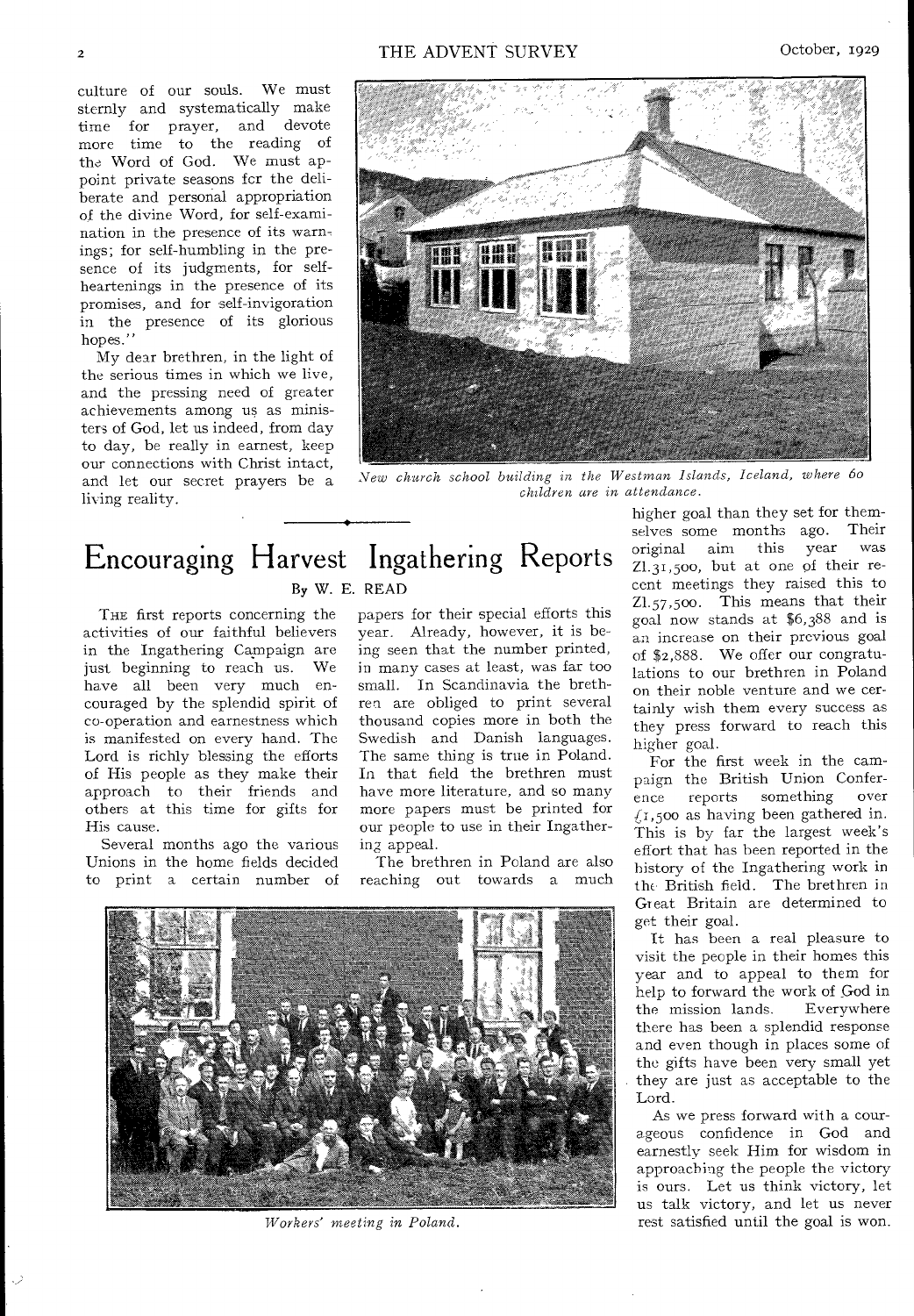culture of our souls. We must sternly and systematically make time for prayer, and devote more time to the reading of the Word of God. We must appoint private seasons fcr the deliberate and personal appropriation of the divine Word, for self-examination in the presence of its warnings; for self-humbling in the presence of its judgments, for selfheartenings in the presence of its promises, and for self-invigoration in the presence of its glorious hopes."

My dear brethren, in the light of the serious times in which we live, and the pressing need of greater achievements among us as ministers of God, let us indeed, from day to day, be really in earnest, keep our connections with Christ intact, and let our secret prayers be a living reality.



*New church school building in the Westman Islands, Iceland, where 6o children are in attendance.* 

## Encouraging Harvest Ingathering Reports By W. E. READ

THE first reports concerning the activities of our faithful believers in the Ingathering Campaign are just beginning to reach us. We have all been very much encouraged by the splendid spirit of co-operation and earnestness which is manifested on every hand. The Lord is richly blessing the efforts of His people as they make their approach to their friends and others at this time for gifts for His cause.

Several months ago the various Unions in the home fields decided to print a certain number of



our people to use in their Ingathering appeal. The brethren in Poland are also reaching out towards a much

have more literature, and so many more papers must be printed for



*Workers' meeting in Poland.* 

higher goal than they set for themselves some months ago. Their original aim this year Z1.31,5oo, but at one of their recent meetings they raised this to Z1.57,5oo. This means that their goal now stands at \$6,388 and is an increase on their previous goal of \$2,888. We offer our congratulations to our brethren in Poland on their noble venture and we certainly wish them every success as they press forward to reach this higher goal.

For the first week in the campaign the British Union Confer-<br>ence reports something over ence reports something over  $(1,500)$  as having been gathered in. This is by far the largest week's effort that has been reported in the history of the Ingathering work in the British field. The brethren in Great Britain are determined to get their goal.

It has been a real pleasure to visit the people in their homes this year and to appeal to them for help to forward the work of God in the mission lands. Everywhere there has been a splendid response and even though in places some of the gifts have been very small yet they are just as acceptable to the Lord.

As we press forward with a courageous confidence in God and earnestly seek Him for wisdom in approaching the people the victory is ours. Let us think victory, let us talk victory, and let us never rest satisfied until the goal is won.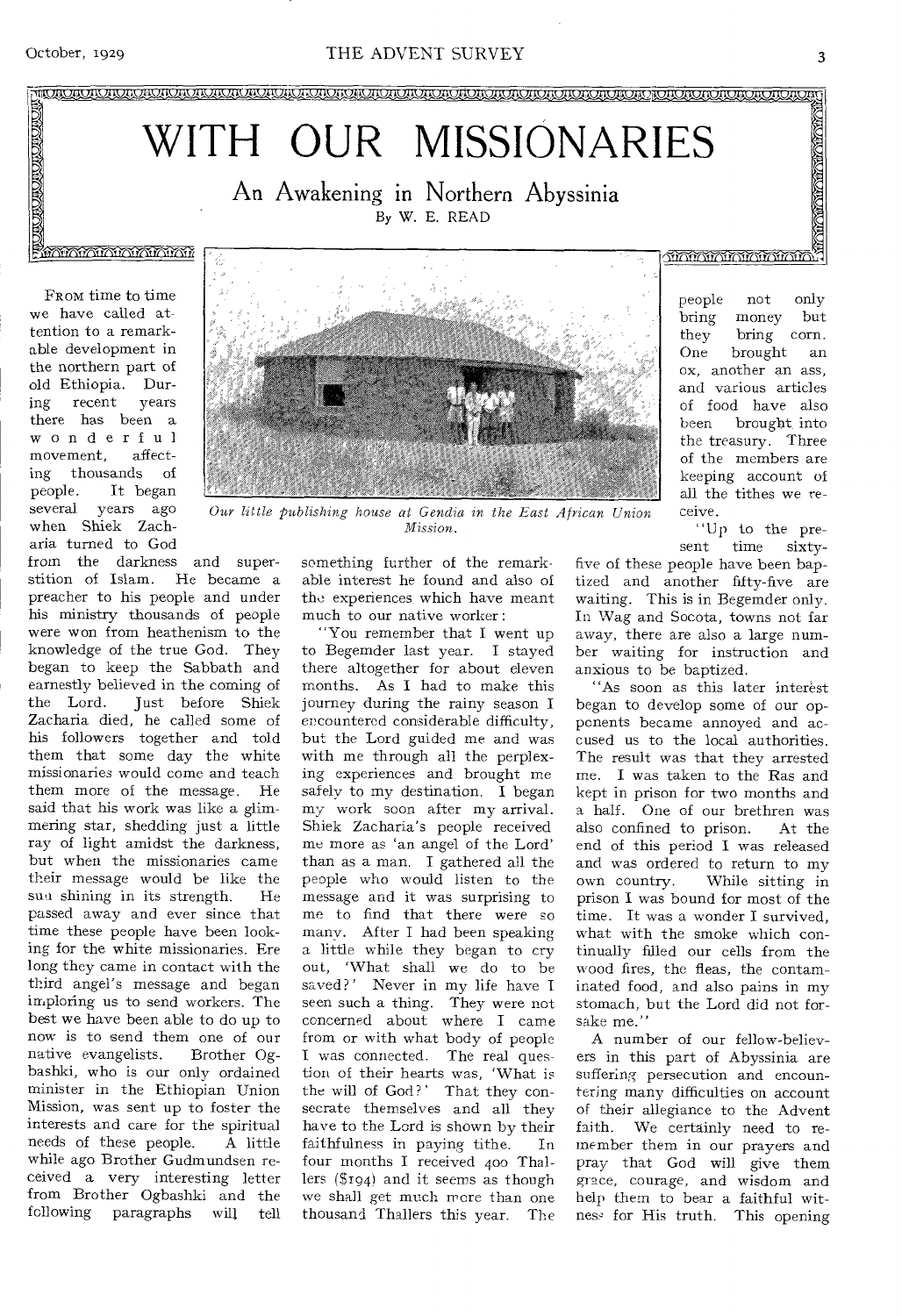**• •** • ••

## WITH OUR MISSIONARIES

An Awakening in Northern Abyssinia By W. E. READ

#### **MATALALALALALALA**

FROM time to time we have called attention to a remarkable development in the northern part of old Ethiopia. During recent years there has been a wonderful<br>movement, affectmovement, ing thousands of people. It began several years ago when Shiek Zacharia turned to God

from the darkness and superstition of Islam. He became a preacher to his people and under his ministry thousands of people were won from heathenism to the knowledge of the true God. They began to keep the Sabbath and earnestly believed in the coming of<br>the Lord. Iust before Shiek Just before Shiek Zacharia died, he called some of his followers together and told them that some day the white missionaries would come and teach them more of the message. He said that his work was like a glimmering star, shedding just a little ray of light amidst the darkness, but when the missionaries came their message would be like the<br>sun shining in its strength  $He$ sun shining in its strength. passed away and ever since that time these people have been looking for the white missionaries. Ere long they came in contact with the third angel's message and began imploring us to send workers. The best we have been able to do up to now is to send them one of our native evangelists. Brother Ogbashki, who is our only ordained minister in the Ethiopian Union Mission, was sent up to foster the interests and care for the spiritual<br>needs of these people. A little needs of these people. while ago Brother Gudmundsen received a very interesting letter from Brother Ogbashki and the following paragraphs will tell



people not only bring money but<br>they bring corn. they bring corn.<br>One brought an brought an ox, another an ass, and various articles of food have also<br>been brought into brought into the treasury. Three of the members are keeping account of all the tithes we receive.

**THAMANA MARAMAN** 

"Up to the present time sixtytime sixty-

something further of the remarkable interest he found and also of tho experiences which have meant much to our native worker :

Our little publishing house at Gendia in the East African Union *Mission.* 

> "You remember that I went up to Begemder last year. I stayed there altogether for about eleven months. As I had to make this journey during the rainy season I encountered considerable difficulty, but the Lord guided me and was with me through all the perplexing experiences and brought me safely to my destination. I began my work soon after my arrival. Shiek Zacharia's people received me more as 'an angel of the Lord' than as a man. I gathered all the people who would listen to the message and it was surprising to me to find that there were so many. After I had been speaking a little while they began to cry out, 'What shall we do to be saved?' Never in my life have I seen such a thing. They were not concerned about where I came from or with what body of people I was connected. The real question of their hearts was, 'What is the will of God?' That they consecrate themselves and all they have to the Lord is shown by their faithfulness in paying tithe. In four months I received 400 Thallers (\$194) and it seems as though we shall get much more than one thousand Thallers this year. The

five of these people have been baptized and another fifty-five are waiting. This is in Begemder only. In Wag and Socota, towns not far away, there are also a large number waiting for instruction and anxious to be baptized.

"As soon as this later interest began to develop some of our opponents became annoyed and accused us to the local authorities. The result was that they arrested me. I was taken to the Ras and kept in prison for two months and a half. One of our brethren was also confined to prison. At the end of this period I was released and was ordered to return to my<br>own country. While sitting in While sitting in prison I was bound for most of the time. It was a wonder I survived, what with the smoke which continually filled our cells from the wood fires, the fleas, the contaminated food, and also pains in my stomach, but the Lord did not forsake me.'

A number of our fellow-believers in this part of Abyssinia are suffering persecution and encountering many difficulties on account of their allegiance to the Advent faith. We certainly need to remember them in our prayers and pray that God will give them grace, courage, and wisdom and help them to bear a faithful witness for His truth. This opening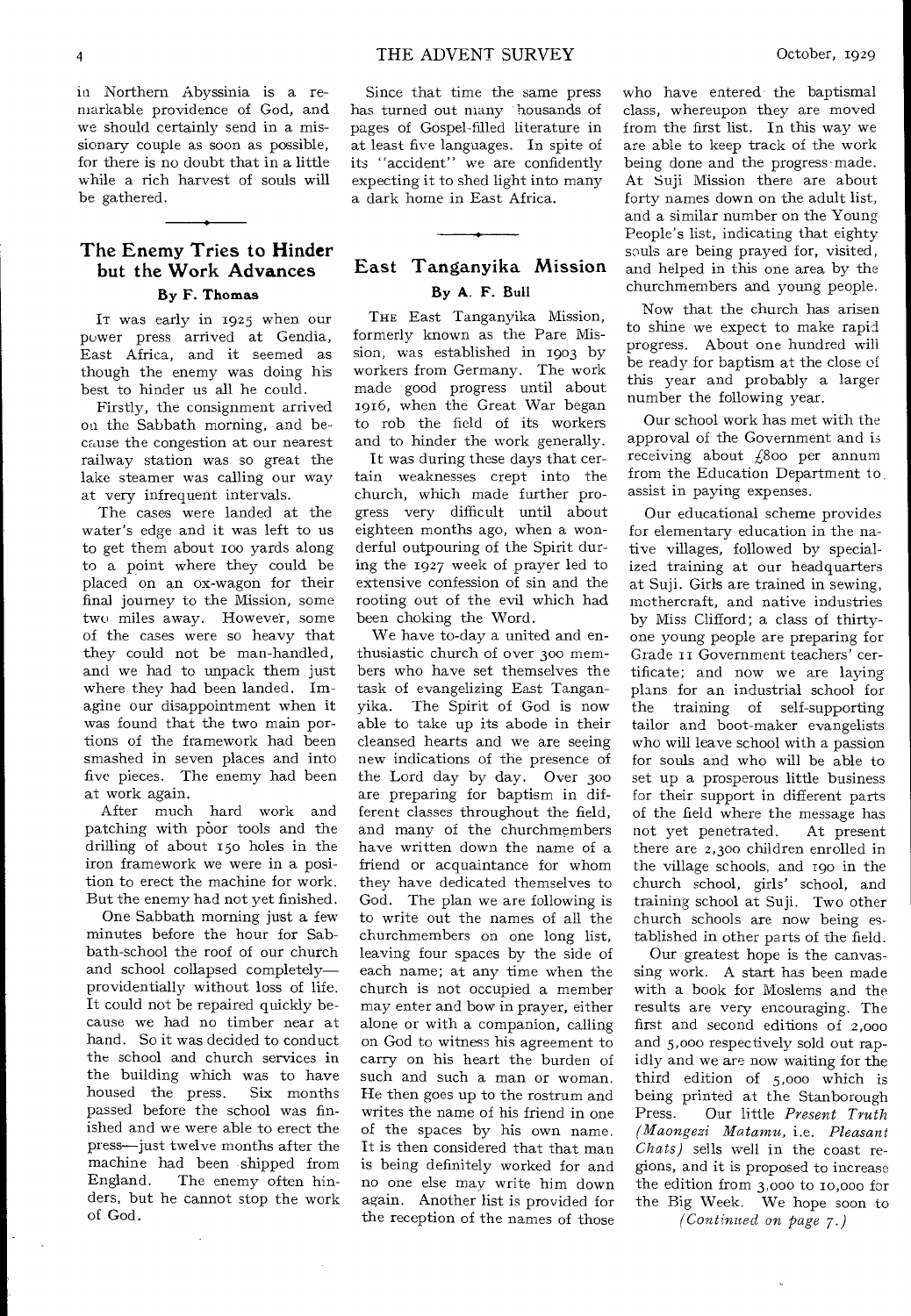**4 1**THE ADVENT SURVEY **October, 1929** 

in Northern Abyssinia is a remarkable providence of God, and we should certainly send in a missionary couple as soon as possible, for there is no doubt that in a little while a rich harvest of souls will be gathered.

### **The Enemy Tries to Hinder but the Work Advances**

**By F. Thomas** 

IT was early in 1925 when our power press arrived at Gendia, East Africa, and it seemed as though the enemy was doing his best to hinder us all he could.

Firstly, the consignment arrived on the Sabbath morning, and because the congestion at our nearest railway station was so great the lake steamer was calling our way at very infrequent intervals.

The cases were landed at the water's edge and it was left to us to get them about roo yards along to a point where they could be placed on an ox-wagon for their final journey to the Mission, some two miles away. However, some of the cases were so heavy that they could not be man-handled, and we had to unpack them just where they had been landed. Imagine our disappointment when it was found that the two main portions of the framework had been smashed in seven places and into five pieces. The enemy had been at work again.

After much hard work and patching with poor tools and the drilling of about 15o holes in the iron framework we were in a position to erect the machine for work. But the enemy had not yet finished.

One Sabbath morning just a few minutes before the hour for Sabbath-school the roof of our church and school collapsed completely providentially without loss of life. It could not be repaired quickly because we had no timber near at hand. So it was decided to conduct the school and church services in the building which was to have<br>housed the press. Six months housed the press. passed before the school was finished and we were able to erect the press—just twelve months after the machine had been shipped from England. The enemy often hinders, but he cannot stop the work of God.

Since that time the same press has turned out many housands of pages of Gospel-filled literature in at least five languages. In spite of its "accident" we are confidently expecting it to shed light into many a dark home in East Africa.

#### East Tanganyika Mission **By A. F. Bull**

THE East Tanganyika Mission, formerly known as the Pare Mission, was established in 1903 by workers from Germany. The work made good progress until about 1916, when the Great War began to rob the field of its workers and to hinder the work generally.

It was during these days that certain weaknesses crept into the church, which made further progress very difficult until about eighteen months ago, when a wonderful outpouring of the Spirit during the 1927 week of prayer led to extensive confession of sin and the rooting out of the evil which had been choking the Word.

We have to-day a united and enthusiastic church of over 30o members who have set themselves the task of evangelizing East Tanganyika. The Spirit of God is now able to take up its abode in their cleansed hearts and we are seeing new indications of the presence of the Lord day by day. Over 300 are preparing for baptism in different classes throughout the field, and many of the churchmembers have written down the name of a friend or acquaintance for whom they have dedicated themselves to God. The plan we are following is to write out the names of all the churchmembers on one long list, leaving four spaces by the side of each name; at any time when the church is not occupied a member may enter and bow in prayer, either alone or with a companion, calling on God to witness his agreement to carry on his heart the burden of such and such a man or woman. He then goes up to the rostrum and writes the name of his friend in one of the spaces by his own name. It is then considered that that man is being definitely worked for and no one else may write him down again. Another list is provided for the reception of the names of those

who have entered the baptismal class, whereupon they are moved from the first list. In this way we are able to keep track of the work being done and the progress made. At Suji Mission there are about forty names down on the adult list, and a similar number on the Young People's list, indicating that eighty souls are being prayed for, visited, and helped in this one area by the churchmembers and young people.

Now that the church has arisen to shine we expect to make rapid progress. About one hundred will be ready for baptism at the close of this year and probably a larger number the following year.

Our school work has met with the approval of the Government and is receiving about  $\ell$ 800 per annum from the Education Department to, assist in paying expenses.

Our educational scheme provides for elementary education in the native villages, followed by specialized training at our headquarters at Suji. Girls are trained in sewing, mothercraft, and native industries by Miss Clifford; a class of thirtyone young people are preparing for Grade 11 Government teachers' certificate; and now we are laying plans for an industrial school for the training of self-supporting tailor and boot-maker evangelists who will leave school with a passion for souls and who will be able to set up a prosperous little business for their support in different parts of the field where the message has not yet penetrated. At present there are 2,300 children enrolled in the village schools, and Igo in the church school, girls' school, and training school at Suji. Two other church schools are now being established in other parts of the field.

Our greatest hope is the canvassing work. A start has been made with a book for Moslems and the results are very encouraging. The first and second editions of 2,000 and 5,000 respectively sold out rapidly and we are now waiting for the third edition of 5,000 which is being printed at the Stanborough<br>Press. Our little Present Truth Press. Our little *Present Truth (Maongezi Matamu,* i.e. *Pleasant Chats)* sells well in the coast regions, and it is proposed to increase the edition from 3,000 to io,000 for the Big Week. We hope soon to

*(Continued on page 7.)*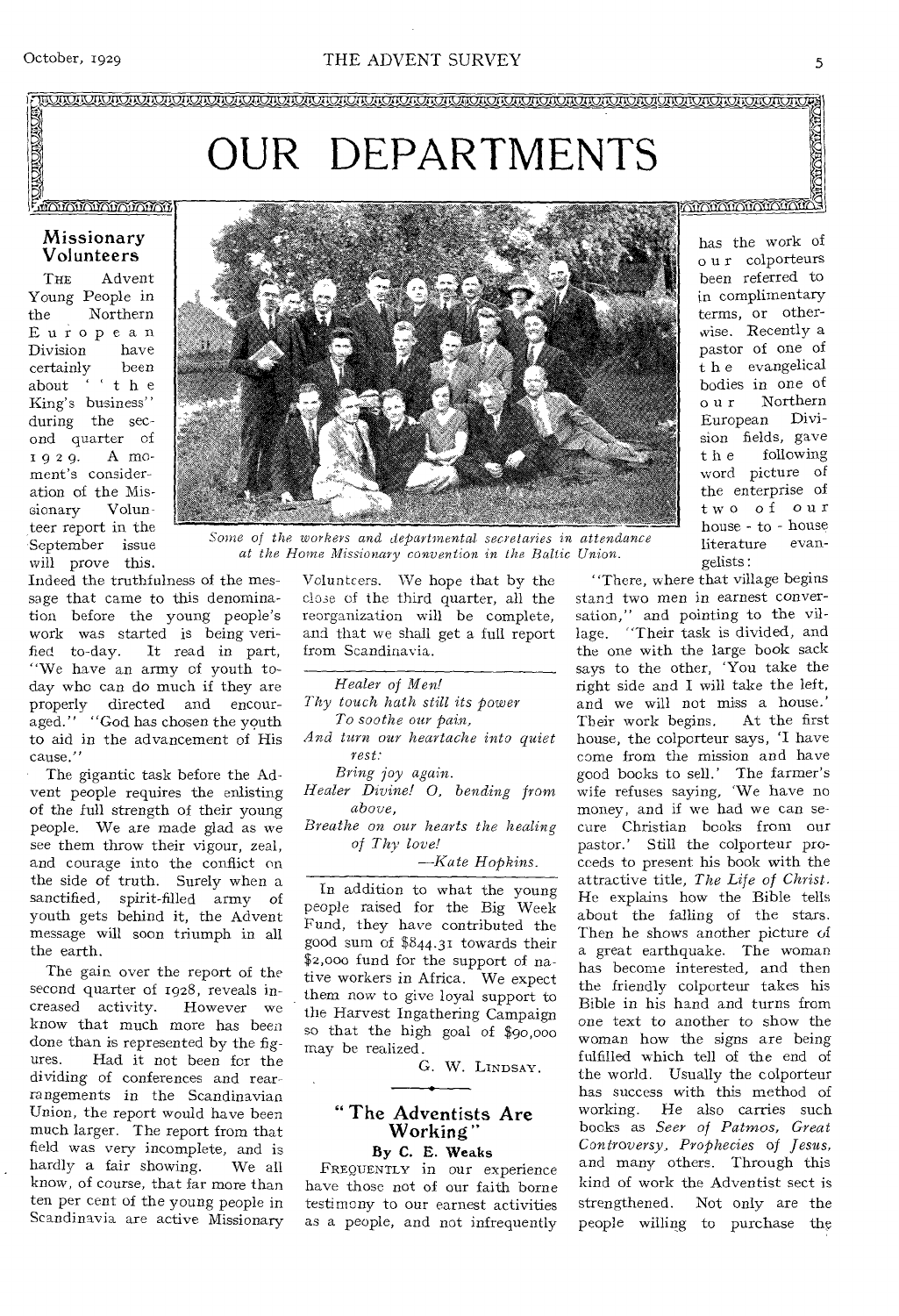OUR DEPARTMENTS

#### **MATAMATANA PERSONAL**

#### Missionary Volunteers

THE Advent Young People in the Northern European<br>Division have Division certainly been about " t h e King's business" during the second quarter of 9 2 9. A moment's consideration of the Missionary Volunteer report in the September issue will prove this.



Some of the workers and departmental secretaries in attendance *at the Home Missionary convention in the Baltic Union.* 

Indeed the truthfulness of the message that came to this denomination before the young people's work was started is being verified to-day. It read in part, "We have an army of youth today who can do much if they are properly directed and encouraged." "God has chosen the youth to aid in the advancement of His cause.'

The gigantic task before the Advent people requires the enlisting of the full strength of their young people. We are made glad as we see them throw their vigour, zeal, and courage into the conflict on the side of truth. Surely when a sanctified, spirit-filled army of youth gets behind it, the Advent message will soon triumph in all the earth.

The gain over the report of the second quarter of 1928, reveals in-<br>creased activity. However we creased activity. know that much more has been done than is represented by the figures. Had it not been for the Had it not been for the dividing of conferences and rearrangements in the Scandinavian Union, the report would have been much larger. The report from that field was very incomplete, and is hardly a fair showing. We all know, of course, that far more than ten per cent of the young people in Scandinavia are active Missionary Volunteers. We hope that by the close of the third quarter, all the reorganization will be complete, and that we shall get a full report from Scandinavia.

*Healer of Men! Thy touch hath still its power To soothe our pain, And turn our heartache into quiet rest: Bring joy again.* 

*Healer Divine! 0, bending from above,* 

*Breathe on our hearts the healing of Thy love!* 

*—Kate Hopkins.* 

In addition to what the young people raised for the Big Week Fund, they have contributed the good sum of ,844.31 towards their \$2,000 fund for the support of native workers in Africa. We expect them now to give loyal support to the Harvest Ingathering Campaign so that the high goal of \$90,000 may be realized.

G. W. LINDSAY.

#### " The Adventists Are Working" By C. E. Weaks

FREQUENTLY in our experience have those not of our faith borne testimony to our earnest activities as a people, and not infrequently

has the work of o u r colporteurs been referred to in complimentary terms, or otherwise. Recently a pastor of one of t h e evangelical bodies in one of o u r Northern European Division fields, gave t h e following word picture of the enterprise of two of our house - to - house literature evangelists :

"There, where that village begins stand two men in earnest conversation," and pointing to the village. "Their task is divided, and the one with the large book sack says to the other, 'You take the right side and I will take the left, and we will not miss a house.' Their work begins. At the first house, the colporteur says, 'I have come from the mission and have good books to sell.' The farmer's wife refuses saying, 'We have no money, and if we had we can secure Christian books from our pastor.' Still the colporteur proceeds to present his book with the attractive title, *The Life of Christ.*  He explains how the Bible tells about the falling of the stars. Then he shows another picture of a great earthquake. The woman has become interested, and then the friendly colporteur takes his Bible in his hand and turns from one text to another to show the woman how the signs are being fulfilled which tell of the end of the world. Usually the colporteur has success with this method of working. He also carries such books as *Seer of Patmos, Great Controversy, Prophecies of Jesus,*  and many others. Through this kind of work the Adventist sect is strengthened. Not only are the people willing to purchase the

**TOO COOL**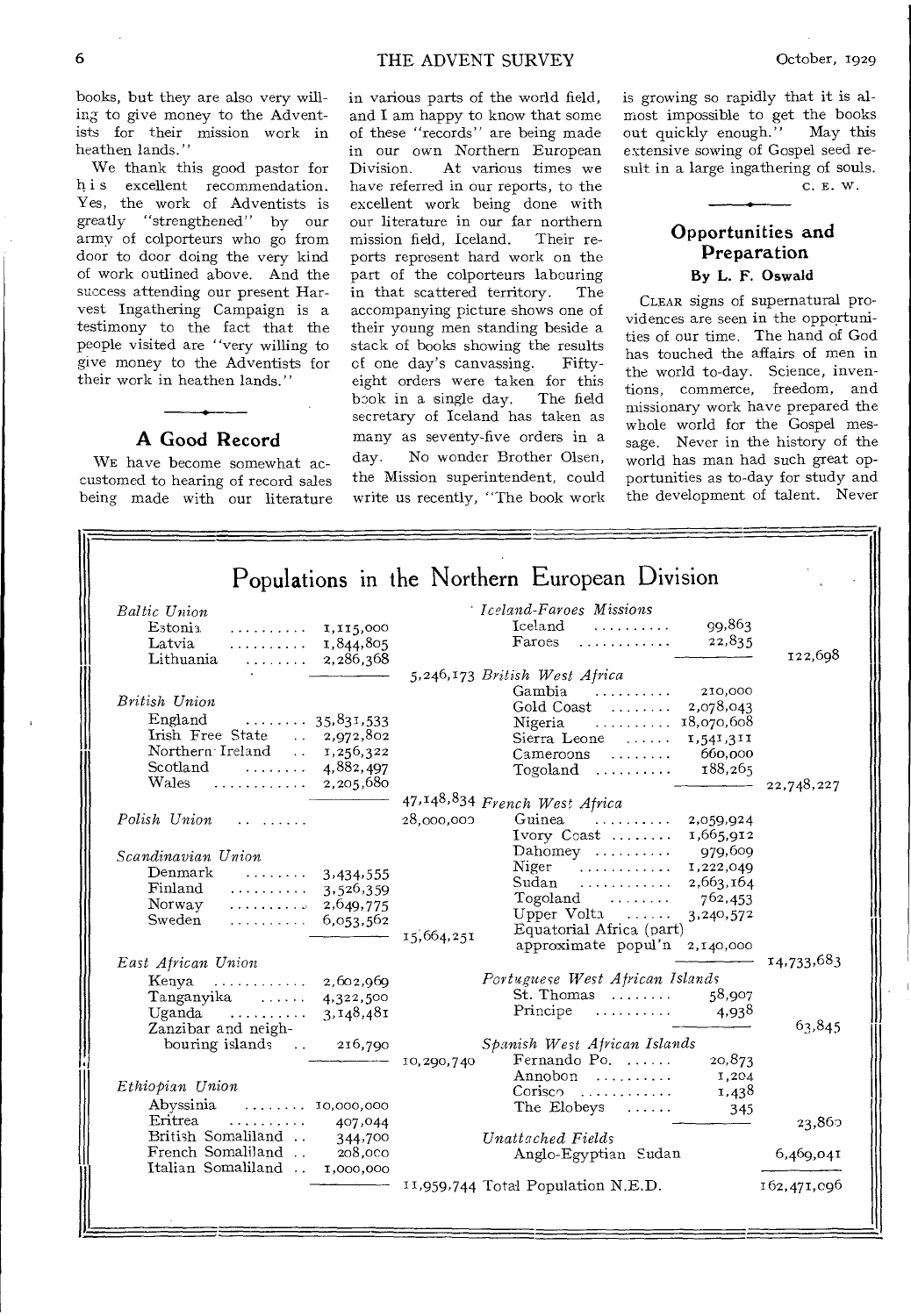books, but they are also very willing to give money to the Adventists for their mission work in heathen lands."

We thank this good pastor for h i s excellent recommendation. Yes, the work of Adventists is greatly "strengthened" by our army of colporteurs who go from door to door doing the very kind of work outlined above. And the success attending our present Harvest Ingathering Campaign is a testimony to the fact that the people visited are "very willing to give money to the Adventists for their work in heathen lands."

#### **A** Good Record

WE have become somewhat accustomed to hearing of record sales being made with our literature

#### in various parts of the world field, and I am happy to know that some of these "records" are being made in our own Northern European<br>Division. At various times we At various times we have referred in our reports, to the excellent work being done with our literature in our far northern<br>mission field, Iceland. Their remission field, Iceland. ports represent hard work on the part of the colporteurs labouring in that scattered territory. The accompanying picture shows one of their young men standing beside a stack of books showing the results of one day's canvassing. Fiftyeight orders were taken for this book in a single day. The field secretary of Iceland has taken as many as seventy-five orders in a day. No wonder Brother Olsen, the Mission superintendent, could write us recently, "The book work

is growing so rapidly that it is almost impossible to get the books out quickly enough." May this extensive sowing of Gospel seed result in a large ingathering of souls.

C. E. W.

#### Opportunities and Preparation **By L. F. Oswald**

CLEAR signs of supernatural providences are seen in the opportunities of our time. The hand of God has touched the affairs of men in the world to-day. Science, inventions, commerce, freedom, and missionary work have prepared the whole world for the Gospel message. Never in the history of the world has man had such great opportunities as to-day for study and the development of talent. Never

| <b>Baltic Union</b>                                                                                                                                                                                                                                                                                                                                   | · Iceland-Faroes Missions                                         |            |
|-------------------------------------------------------------------------------------------------------------------------------------------------------------------------------------------------------------------------------------------------------------------------------------------------------------------------------------------------------|-------------------------------------------------------------------|------------|
| Estonia.<br>1,115,000<br>.                                                                                                                                                                                                                                                                                                                            | Iceland<br>99,863                                                 |            |
| Latvia<br>1,844,805<br>.                                                                                                                                                                                                                                                                                                                              | 22,835<br>Faroes<br>. <i>.</i>                                    |            |
| Lithuania<br>$\ldots$ $2,286,368$                                                                                                                                                                                                                                                                                                                     |                                                                   | 122,698    |
|                                                                                                                                                                                                                                                                                                                                                       | 5,246,173 British West Africa                                     |            |
|                                                                                                                                                                                                                                                                                                                                                       | Gambia<br>210,000<br>1.1.1.1.1.1.1.1.1                            |            |
| British Union                                                                                                                                                                                                                                                                                                                                         | Gold Coast<br>2,078,043                                           |            |
| England<br>$\dots \dots 35,831,533$                                                                                                                                                                                                                                                                                                                   | 18,070,608<br>Nigeria $\ldots \ldots \ldots$                      |            |
| Irish Free State<br>$\ldots$ 2,972,802                                                                                                                                                                                                                                                                                                                | $Sierra Leone$<br>1,541,311                                       |            |
| Northern Ireland  1,256,322                                                                                                                                                                                                                                                                                                                           | 660,000<br>$Cameroons$                                            |            |
| Scotland<br>$\cdots$ 4,882,497                                                                                                                                                                                                                                                                                                                        | 188,265<br>$To goal$ $\dots \dots$                                |            |
| Wales $2,205,680$                                                                                                                                                                                                                                                                                                                                     |                                                                   | 22,748,227 |
|                                                                                                                                                                                                                                                                                                                                                       | 47,148,834 French West Africa                                     |            |
| $Polish$ Union $\ldots$                                                                                                                                                                                                                                                                                                                               | 28,000,000<br>Guinea<br>2,059,924                                 |            |
|                                                                                                                                                                                                                                                                                                                                                       | Ivory Coast<br>1,665,912                                          |            |
| Scandinavian Union                                                                                                                                                                                                                                                                                                                                    | Dahomey<br>979,609                                                |            |
| Denmark<br>$\cdots$ $3,434,555$                                                                                                                                                                                                                                                                                                                       | Niger $\ldots \ldots \ldots$<br>1,222,049<br>$Sudan$<br>2,663,164 |            |
| Finland<br>3,526,359<br>.                                                                                                                                                                                                                                                                                                                             | Togoland<br>762,453                                               |            |
| Norway<br>$\ldots \ldots \ldots$ 2,649,775                                                                                                                                                                                                                                                                                                            | Upper Volta<br>3,240,572                                          |            |
| Sweden<br>$\ldots \ldots \ldots 6,053,562$                                                                                                                                                                                                                                                                                                            | Equatorial Africa (part)                                          |            |
|                                                                                                                                                                                                                                                                                                                                                       | 15,664,251<br>approximate popul'n 2,140,000                       |            |
| East African Union                                                                                                                                                                                                                                                                                                                                    |                                                                   | 14,733,683 |
| Kenya<br>$\cdots$ $\cdots$ $\cdots$ $\cdots$ $\cdots$ $\cdots$ $\cdots$ $\cdots$ $\cdots$ $\cdots$ $\cdots$ $\cdots$ $\cdots$ $\cdots$ $\cdots$ $\cdots$ $\cdots$ $\cdots$ $\cdots$ $\cdots$ $\cdots$ $\cdots$ $\cdots$ $\cdots$ $\cdots$ $\cdots$ $\cdots$ $\cdots$ $\cdots$ $\cdots$ $\cdots$ $\cdots$ $\cdots$ $\cdots$ $\cdots$ $\cdots$ $\cdots$ | Portuguese West African Islands                                   |            |
| Tanganyika<br>4,322,500                                                                                                                                                                                                                                                                                                                               | $St.$ Thomas $\ldots \ldots$<br>58,907                            |            |
| Uganda $\dots\dots\dots$<br>3,148,481                                                                                                                                                                                                                                                                                                                 | Principe<br>4,938                                                 |            |
| Zanzibar and neigh-                                                                                                                                                                                                                                                                                                                                   |                                                                   | 63,845     |
| bouring islands<br>216,790                                                                                                                                                                                                                                                                                                                            | Spanish West African Islands                                      |            |
|                                                                                                                                                                                                                                                                                                                                                       | Fernando Po.<br>20,873<br>10,290,740                              |            |
| Ethiopian Union                                                                                                                                                                                                                                                                                                                                       | Annobon $\dots\dots$<br>1,204                                     |            |
|                                                                                                                                                                                                                                                                                                                                                       | $Conisc2$<br>1,438                                                |            |
| Abyssinia<br>$\dots \dots \dots$ 10,000,000                                                                                                                                                                                                                                                                                                           | The Elobeys<br>1.1.1.1.1.1<br>345                                 |            |
| Eritrea<br>407,044<br>British Somaliland                                                                                                                                                                                                                                                                                                              |                                                                   | 23,860     |
| 344,700<br>French Somaliland.<br>208,000                                                                                                                                                                                                                                                                                                              | Unattached Fields                                                 |            |
| Italian Somaliland<br>1,000,000                                                                                                                                                                                                                                                                                                                       | Anglo-Egyptian Sudan                                              | 6,469,041  |

 $\overline{\overline{E}}$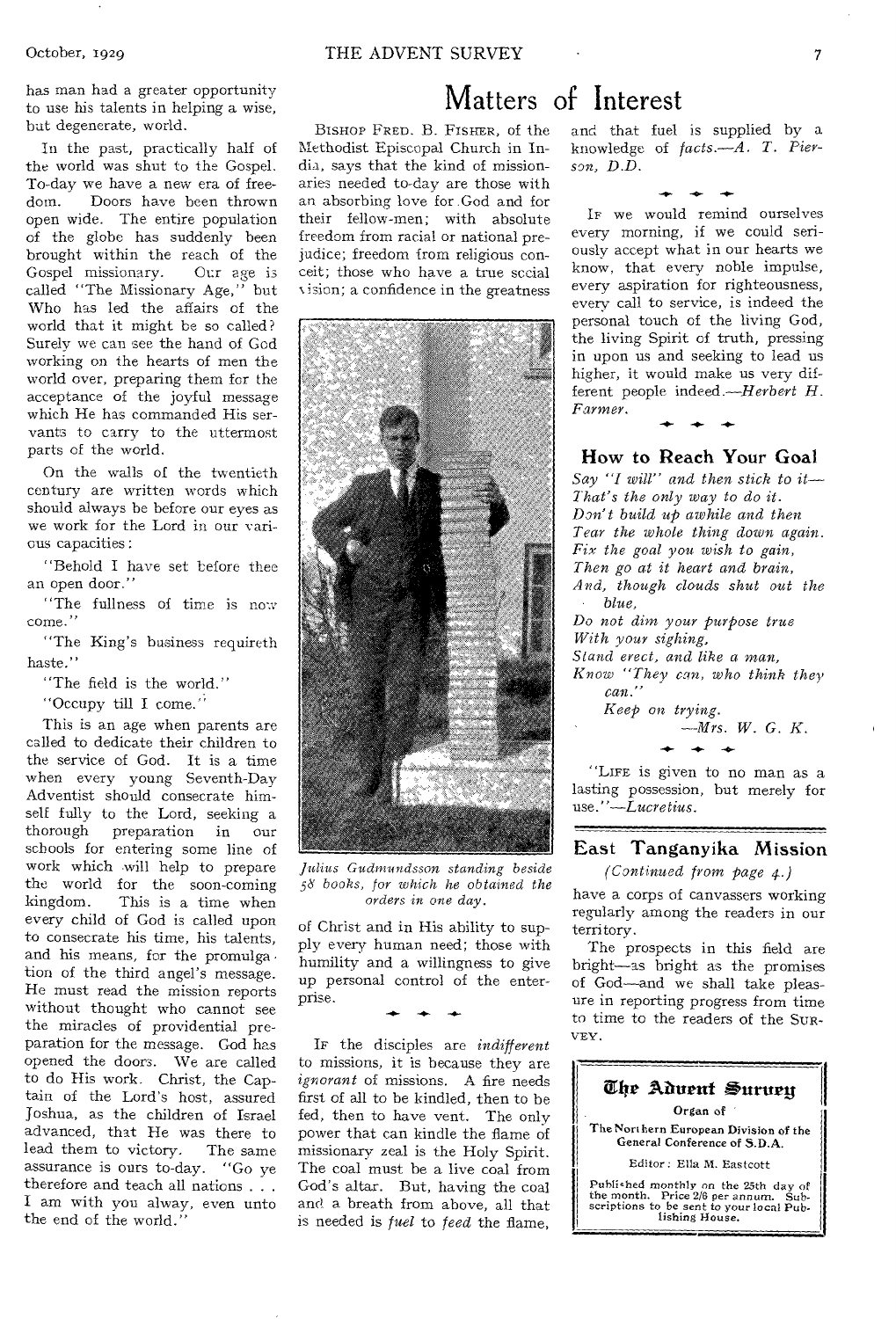has man had a greater opportunity to use his talents in helping a wise, but degenerate, world.

In the past, practically half of the world was shut to the Gospel. To-day we have a new era of freedom. Doors have been thrown open wide. The entire population of the globe has suddenly been brought within the reach of the Gospel missionary. Our age is called "The Missionary Age," but Who has led the affairs of the world that it might be so called? Surely we can see the hand of God working on the hearts of men the world over, preparing them for the acceptance of the joyful message which He has commanded His servants to carry to the uttermost parts of the world.

On the walls of the twentieth century are written words which should always be before our eyes as we work for the Lord in our various capacities :

"Behold I have set before thee an open door."

"The fullness of time is now come."

"The King's business requireth haste."

"The field is the world."

"Occupy till I come."

This is an age when parents are called to dedicate their children to the service of God. It is a time when every young Seventh-Day Adventist should consecrate himself fully to the Lord, seeking a<br>thorough preparation in our preparation in our schools for entering some line of work which will help to prepare the world for the soon-coming<br>kingdom. This is a time when This is a time when every child of God is called upon to consecrate his time, his talents, and his means, for the promulga tion of the third angel's message. He must read the mission reports without thought who cannot see the miracles of providential preparation for the message. God has opened the doors. We are called to do His work. Christ, the Captain of the Lord's host, assured Joshua, as the children of Israel advanced, that He was there to<br>lead them to victory. The same lead them to victory. assurance is ours to-day. "Go ye therefore and teach all nations . . . I am with you alway, even unto the end of the world."

## Matters of Interest

BISHOP FRED. B. FISHER, of the Methodist Episcopal Church in India, says that the kind of missionaries needed to-day are those with an absorbing love for. God and for their fellow-men; with absolute freedom from racial or national prejudice; freedom from religious conceit; those who have a true social vision; a confidence in the greatness



*Julius Gudmundsson standing beside*  36 *books, for which he obtained the orders in one day.* 

of Christ and in His ability to supply every human need; those with humility and a willingness to give up personal control of the enterprise. **-0- -4,** 

IF the disciples are *indifferent*  to missions, it is because they are *ignorant* of missions. A fire needs first of all to be kindled, then to be fed, then to have vent. The only power that can kindle the flame of missionary zeal is the Holy Spirit. The coal must be a live coal from God's altar. But, having the coal and a breath from above, all that is needed is *fuel* to *feed* the flame,

and that fuel is supplied by a knowledge of *facts.—A. T. Pierson, D.D.*   $+ + +$ 

IF we would remind ourselves every morning, if we could seriously accept what in our hearts we know, that every noble impulse, every aspiration for righteousness, every call to service, is indeed the personal touch of the living God, the living Spirit of truth, pressing in upon us and seeking to lead us higher, it would make us very different people *indeed.—Herbert H. Farmer.* 

#### How to Reach Your Goal

*Say "I will" and then stick to it— That's the only way to do it. Don't build up awhile and then Tear the whole thing down again. Fix the goal you wish to gain, Then go at it heart and brain, And, though clouds shut out the blue, Do not dim your purpose true With your sighing, Stand erect, and like a man,* 

*Know "They can, who think they can."* 

*Keep on trying. --Mrs. W. G. K.* 

"LIFE is given to no man as a lasting possession, but merely for *use."—Lucretius.* 

#### East Tanganyika Mission

*(Continued from page 4.)* 

have a corps of canvassers working regularly among the readers in our territory.

The prospects in this field are bright—as bright as the promises of God—and we shall take pleasure in reporting progress from time to time to the readers of the SUR-VEY.